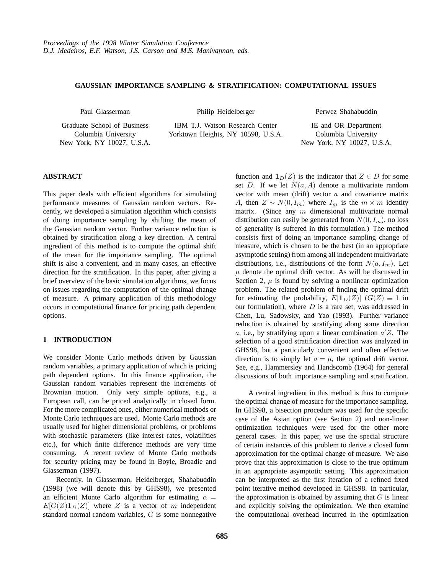# **GAUSSIAN IMPORTANCE SAMPLING & STRATIFICATION: COMPUTATIONAL ISSUES**

Paul Glasserman

Graduate School of Business Columbia University New York, NY 10027, U.S.A. Philip Heidelberger

IBM T.J. Watson Research Center Yorktown Heights, NY 10598, U.S.A. Perwez Shahabuddin

IE and OR Department Columbia University New York, NY 10027, U.S.A.

# **ABSTRACT**

This paper deals with efficient algorithms for simulating performance measures of Gaussian random vectors. Recently, we developed a simulation algorithm which consists of doing importance sampling by shifting the mean of the Gaussian random vector. Further variance reduction is obtained by stratification along a key direction. A central ingredient of this method is to compute the optimal shift of the mean for the importance sampling. The optimal shift is also a convenient, and in many cases, an effective direction for the stratification. In this paper, after giving a brief overview of the basic simulation algorithms, we focus on issues regarding the computation of the optimal change of measure. A primary application of this methodology occurs in computational finance for pricing path dependent options.

### **1 INTRODUCTION**

We consider Monte Carlo methods driven by Gaussian random variables, a primary application of which is pricing path dependent options. In this finance application, the Gaussian random variables represent the increments of Brownian motion. Only very simple options, e.g., a European call, can be priced analytically in closed form. For the more complicated ones, either numerical methods or Monte Carlo techniques are used. Monte Carlo methods are usually used for higher dimensional problems, or problems with stochastic parameters (like interest rates, volatilities etc.), for which finite difference methods are very time consuming. A recent review of Monte Carlo methods for security pricing may be found in Boyle, Broadie and Glasserman (1997).

Recently, in Glasserman, Heidelberger, Shahabuddin (1998) (we will denote this by GHS98), we presented an efficient Monte Carlo algorithm for estimating  $\alpha =$  $E[G(Z)1_D(Z)]$  where Z is a vector of m independent standard normal random variables, G is some nonnegative

function and  $\mathbf{1}_D(Z)$  is the indicator that  $Z \in D$  for some set D. If we let  $N(a, A)$  denote a multivariate random vector with mean (drift) vector  $a$  and covariance matrix A, then  $Z \sim N(0, I_m)$  where  $I_m$  is the  $m \times m$  identity matrix. (Since any  $m$  dimensional multivariate normal distribution can easily be generated from  $N(0, I_m)$ , no loss of generality is suffered in this formulation.) The method consists first of doing an importance sampling change of measure, which is chosen to be the best (in an appropriate asymptotic setting) from among all independent multivariate distributions, i.e., distributions of the form  $N(a, I_m)$ . Let  $\mu$  denote the optimal drift vector. As will be discussed in Section 2,  $\mu$  is found by solving a nonlinear optimization problem. The related problem of finding the optimal drift for estimating the probability,  $E[\mathbf{1}_D(Z)]$  ( $G(Z) \equiv 1$  in our formulation), where  $D$  is a rare set, was addressed in Chen, Lu, Sadowsky, and Yao (1993). Further variance reduction is obtained by stratifying along some direction a, i.e., by stratifying upon a linear combination  $a'Z$ . The selection of a good stratification direction was analyzed in GHS98, but a particularly convenient and often effective direction is to simply let  $a = \mu$ , the optimal drift vector. See, e.g., Hammersley and Handscomb (1964) for general discussions of both importance sampling and stratification.

A central ingredient in this method is thus to compute the optimal change of measure for the importance sampling. In GHS98, a bisection procedure was used for the specific case of the Asian option (see Section 2) and non-linear optimization techniques were used for the other more general cases. In this paper, we use the special structure of certain instances of this problem to derive a closed form approximation for the optimal change of measure. We also prove that this approximation is close to the true optimum in an appropriate asymptotic setting. This approximation can be interpreted as the first iteration of a refined fixed point iterative method developed in GHS98. In particular, the approximation is obtained by assuming that  $G$  is linear and explicitly solving the optimization. We then examine the computational overhead incurred in the optimization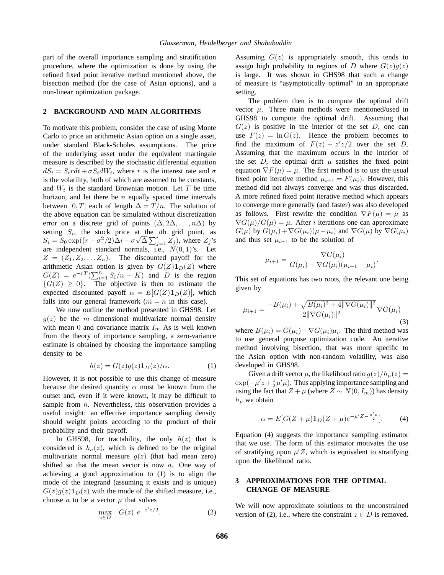part of the overall importance sampling and stratification procedure, where the optimization is done by using the refined fixed point iterative method mentioned above, the bisection method (for the case of Asian options), and a non-linear optimization package.

### **2 BACKGROUND AND MAIN ALGORITHMS**

To motivate this problem, consider the case of using Monte Carlo to price an arithmetic Asian option on a single asset, under standard Black-Scholes assumptions. The price of the underlying asset under the equivalent martingale measure is described by the stochastic differential equation  $dS_t = S_t r dt + \sigma S_t dW_t$ , where r is the interest rate and  $\sigma$ is the volatility, both of which are assumed to be constants, and  $W_t$  is the standard Brownian motion. Let T be time horizon, and let there be  $n$  equally spaced time intervals between [0, T] each of length  $\Delta = T/n$ . The solution of the above equation can be simulated without discretization error on a discrete grid of points  $(\Delta, 2\Delta, \ldots, n\Delta)$  by setting  $S_i$ , the stock price at the *i*th grid point, as  $S_i = S_0 \exp((r - \sigma^2/2)\Delta i + \sigma\sqrt{\Delta} \sum_{j=1}^i Z_j)$ , where  $Z_j$ 's are independent standard normals, i.e.,  $N(0, 1)$ 's. Let  $Z = (Z_1, Z_2, \ldots, Z_n)$ . The discounted payoff for the arithmetic Asian option is given by  $G(Z)$ **1** $_D$ (Z) where  $G(Z) = e^{-rT} (\sum_{i=1}^n S_i/n - K)$  and D is the region  ${G(Z) \geq 0}$ . The objective is then to estimate the expected discounted payoff  $\alpha = E[G(Z)1_D(Z)]$ , which falls into our general framework ( $m = n$  in this case).

We now outline the method presented in GHS98. Let  $g(z)$  be the m dimensional multivariate normal density with mean 0 and covariance matrix  $I_m$  As is well known from the theory of importance sampling, a zero-variance estimate is obtained by choosing the importance sampling density to be

$$
h(z) = G(z)g(z)\mathbf{1}_D(z)/\alpha.
$$
 (1)

However, it is not possible to use this change of measure because the desired quantity  $\alpha$  must be known from the outset and, even if it were known, it may be difficult to sample from h. Nevertheless, this observation provides a useful insight: an effective importance sampling density should weight points according to the product of their probability and their payoff.

In GHS98, for tractability, the only  $h(z)$  that is considered is  $h_a(z)$ , which is defined to be the original multivariate normal measure  $g(z)$  (that had mean zero) shifted so that the mean vector is now  $a$ . One way of achieving a good approximation to (1) is to align the mode of the integrand (assuming it exists and is unique)  $G(z)g(z)1_D(z)$  with the mode of the shifted measure, i.e., choose  $\alpha$  to be a vector  $\mu$  that solves

$$
\max_{z \in D} G(z) e^{-z'z/2}.
$$
 (2)

Assuming  $G(z)$  is appropriately smooth, this tends to assign high probability to regions of D where  $G(z)g(z)$ is large. It was shown in GHS98 that such a change of measure is "asymptotically optimal" in an appropriate setting.

The problem then is to compute the optimal drift vector  $\mu$ . Three main methods were mentioned/used in GHS98 to compute the optimal drift. Assuming that  $G(z)$  is positive in the interior of the set D, one can use  $F(z) = \ln G(z)$ . Hence the problem becomes to find the maximum of  $F(z) - z'z/2$  over the set D. Assuming that the maximum occurs in the interior of the set D, the optimal drift  $\mu$  satisfies the fixed point equation  $\nabla F(\mu) = \mu$ . The first method is to use the usual fixed point iterative method  $\mu_{i+1} = F(\mu_i)$ . However, this method did not always converge and was thus discarded. A more refined fixed point iterative method which appears to converge more generally (and faster) was also developed as follows. First rewrite the condition  $\nabla F(\mu) = \mu$  as  $\nabla G(\mu)/G(\mu) = \mu$ . After *i* iterations one can approximate  $G(\mu)$  by  $G(\mu_i)+\nabla G(\mu_i)(\mu-\mu_i)$  and  $\nabla G(\mu)$  by  $\nabla G(\mu_i)$ and thus set  $\mu_{i+1}$  to be the solution of

$$
\mu_{i+1} = \frac{\nabla G(\mu_i)}{G(\mu_i) + \nabla G(\mu_i)(\mu_{i+1} - \mu_i)}.
$$

This set of equations has two roots, the relevant one being given by

$$
\mu_{i+1} = \frac{-B(\mu_i) + \sqrt{B(\mu_i)^2 + 4\|\nabla G(\mu_i)\|^2}}{2\|\nabla G(\mu_i)\|^2} \nabla G(\mu_i)
$$
\n(3)

where  $B(\mu_i) = G(\mu_i) - \nabla G(\mu_i)\mu_i$ . The third method was to use general purpose optimization code. An iterative method involving bisection, that was more specific to the Asian option with non-random volatility, was also developed in GHS98.

Given a drift vector  $\mu$ , the likelihood ratio  $g(z)/h_{\mu}(z) =$  $\exp(-\mu'z + \frac{1}{2}\mu'\mu)$ . Thus applying importance sampling and using the fact that  $Z + \mu$  (where  $Z \sim N(0, I_m)$ ) has density  $h_{\mu}$  we obtain

$$
\alpha = E[G(Z + \mu)1_D(Z + \mu)e^{-\mu' Z - \frac{\mu'\mu}{2}}].
$$
 (4)

Equation (4) suggests the importance sampling estimator that we use. The form of this estimator motivates the use of stratifying upon  $\mu' Z$ , which is equivalent to stratifying upon the likelihood ratio.

### **3 APPROXIMATIONS FOR THE OPTIMAL CHANGE OF MEASURE**

We will now approximate solutions to the unconstrained version of (2), i.e., where the constraint  $z \in D$  is removed.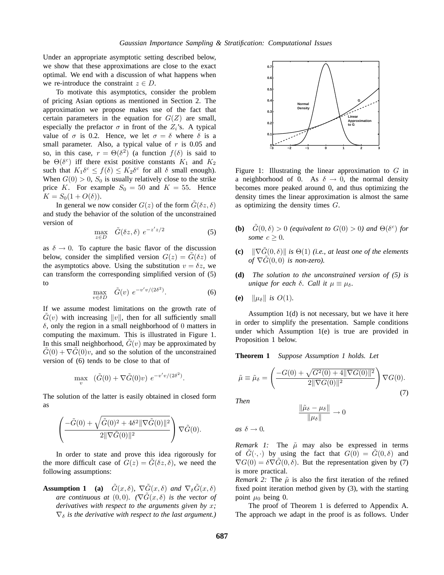Under an appropriate asymptotic setting described below, we show that these approximations are close to the exact optimal. We end with a discussion of what happens when we re-introduce the constraint  $z \in D$ .

To motivate this asymptotics, consider the problem of pricing Asian options as mentioned in Section 2. The approximation we propose makes use of the fact that certain parameters in the equation for  $G(Z)$  are small, especially the prefactor  $\sigma$  in front of the  $Z_i$ 's. A typical value of  $\sigma$  is 0.2. Hence, we let  $\sigma = \delta$  where  $\delta$  is a small parameter. Also, a typical value of  $r$  is 0.05 and so, in this case,  $r = \Theta(\delta^2)$  (a function  $f(\delta)$  is said to be  $\Theta(\delta^c)$  iff there exist positive constants  $K_1$  and  $K_2$ such that  $K_1 \delta^c \leq f(\delta) \leq K_2 \delta^c$  for all  $\delta$  small enough). When  $G(0) > 0$ ,  $S_0$  is usually relatively close to the strike price K. For example  $S_0 = 50$  and  $K = 55$ . Hence  $K = S_0(1 + O(\delta)).$ 

In general we now consider  $G(z)$  of the form  $\tilde{G}(\delta z, \delta)$ and study the behavior of the solution of the unconstrained version of

$$
\max_{z \in D} \quad \tilde{G}(\delta z, \delta) \ e^{-z'z/2} \tag{5}
$$

as  $\delta \rightarrow 0$ . To capture the basic flavor of the discussion below, consider the simplified version  $G(z) = G(\delta z)$  of the asymptotics above. Using the substitution  $v = \delta z$ , we can transform the corresponding simplified version of (5) to

$$
\max_{v \in \delta D} \quad \tilde{G}(v) \ e^{-v'v/(2\delta^2)}.\tag{6}
$$

If we assume modest limitations on the growth rate of  $\tilde{G}(v)$  with increasing ||v||, then for all sufficiently small  $\delta$ , only the region in a small neighborhood of 0 matters in computing the maximum. This is illustrated in Figure 1. In this small neighborhood,  $G(v)$  may be approximated by  $G(0) + \nabla G(0)v$ , and so the solution of the unconstrained version of (6) tends to be close to that of

$$
\max_{v} \quad (\tilde{G}(0) + \nabla \tilde{G}(0)v) \ e^{-v'v/(2\delta^2)}.
$$

The solution of the latter is easily obtained in closed form as

$$
\left(\frac{-\tilde{G}(0)+\sqrt{\tilde{G}(0)^2+4\delta^2\|\nabla \tilde{G}(0)\|^2}}{2\|\nabla \tilde{G}(0)\|^2}\right)\nabla \tilde{G}(0).
$$

In order to state and prove this idea rigorously for the more difficult case of  $G(z) = G(\delta z, \delta)$ , we need the following assumptions:

**Assumption 1** (a)  $\tilde{G}(x,\delta)$ ,  $\nabla \tilde{G}(x,\delta)$  *and*  $\nabla_{\delta} \tilde{G}(x,\delta)$ *are continuous at*  $(0,0)$ *.*  $(\nabla \tilde{G}(x, \delta))$  *is the vector of derivatives with respect to the arguments given by* x*;*  $\nabla_{\delta}$  *is the derivative with respect to the last argument.*)



Figure 1: Illustrating the linear approximation to  $G$  in a neighborhood of 0. As  $\delta \rightarrow 0$ , the normal density becomes more peaked around 0, and thus optimizing the density times the linear approximation is almost the same as optimizing the density times  $G$ .

- **(b)**  $\tilde{G}(0,\delta) > 0$  *(equivalent to*  $G(0) > 0$ *) and*  $\Theta(\delta^c)$  *for some*  $c > 0$ *.*
- **(c)**  $\|\nabla \tilde{G}(0, \delta)\|$  *is*  $\Theta(1)$  *(i.e., at least one of the elements of*  $\nabla G(0,0)$  *is non-zero*).
- **(d)** *The solution to the unconstrained version of (5) is unique for each*  $\delta$ *. Call it*  $\mu \equiv \mu_{\delta}$ *.*
- **(e)**  $\|\mu_{\delta}\|$  *is*  $O(1)$ *.*

Assumption 1(d) is not necessary, but we have it here in order to simplify the presentation. Sample conditions under which Assumption 1(e) is true are provided in Proposition 1 below.

**Theorem 1** *Suppose Assumption 1 holds. Let*

$$
\tilde{\mu} \equiv \tilde{\mu}_{\delta} = \left( \frac{-G(0) + \sqrt{G^2(0) + 4 \|\nabla G(0)\|^2}}{2 \|\nabla G(0)\|^2} \right) \nabla G(0). \tag{7}
$$

*Then*

$$
\frac{\|\tilde{\mu}_{\delta} - \mu_{\delta}\|}{\|\mu_{\delta}\|} \to 0
$$

*as*  $\delta \rightarrow 0$ *.* 

*Remark 1:* The  $\tilde{\mu}$  may also be expressed in terms of  $G(\cdot, \cdot)$  by using the fact that  $G(0) = G(0, \delta)$  and  $\nabla G(0) = \delta \nabla G(0, \delta)$ . But the representation given by (7) is more practical.

*Remark 2:* The  $\tilde{\mu}$  is also the first iteration of the refined fixed point iteration method given by (3), with the starting point  $\mu_0$  being 0.

The proof of Theorem 1 is deferred to Appendix A. The approach we adapt in the proof is as follows. Under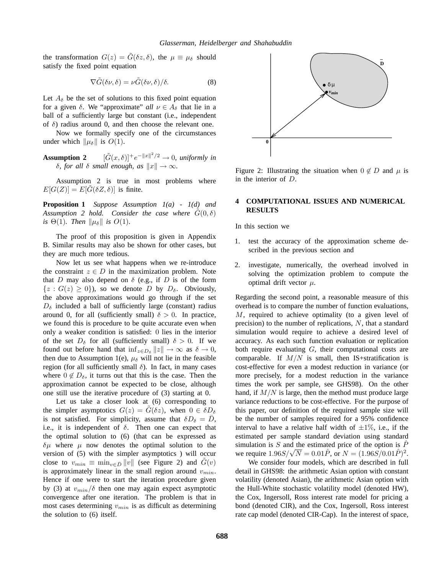the transformation  $G(z) = \tilde{G}(\delta z, \delta)$ , the  $\mu \equiv \mu_{\delta}$  should satisfy the fixed point equation

$$
\nabla \tilde{G}(\delta \nu, \delta) = \nu \tilde{G}(\delta \nu, \delta) / \delta. \tag{8}
$$

Let  $A_{\delta}$  be the set of solutions to this fixed point equation for a given  $\delta$ . We "approximate" *all*  $\nu \in A_{\delta}$  that lie in a ball of a sufficiently large but constant (i.e., independent of  $\delta$ ) radius around 0, and then choose the relevant one.

Now we formally specify one of the circumstances under which  $\|\mu_{\delta}\|$  is  $O(1)$ .

**Assumption 2**  $[\tilde{G}(x, \delta)] + e^{-\|x\|^2/2} \to 0$ , uniformly in *δ, for all δ small enough, as*  $||x|| → ∞$ *.* 

Assumption 2 is true in most problems where  $E[G(Z)] = E[G(\delta Z, \delta)]$  is finite.

**Proposition 1** *Suppose Assumption 1(a) - 1(d) and Assumption 2 hold. Consider the case where*  $G(0, \delta)$ *is*  $\Theta(1)$ *. Then*  $\|\mu_{\delta}\|$  *is*  $O(1)$ *.* 

The proof of this proposition is given in Appendix B. Similar results may also be shown for other cases, but they are much more tedious.

Now let us see what happens when we re-introduce the constraint  $z \in D$  in the maximization problem. Note that D may also depend on  $\delta$  (e.g., if D is of the form  $\{z : G(z) \geq 0\}$ , so we denote D by  $D_{\delta}$ . Obviously, the above approximations would go through if the set  $D_{\delta}$  included a ball of sufficiently large (constant) radius around 0, for all (sufficiently small)  $\delta > 0$ . In practice, we found this is procedure to be quite accurate even when only a weaker condition is satisfied: 0 lies in the interior of the set  $D_{\delta}$  for all (sufficiently small)  $\delta > 0$ . If we found out before hand that  $\inf_{z \in D_\delta} ||z|| \to \infty$  as  $\delta \to 0$ , then due to Assumption 1(e),  $\mu_{\delta}$  will not lie in the feasible region (for all sufficiently small  $\delta$ ). In fact, in many cases where  $0 \notin D_{\delta}$ , it turns out that this is the case. Then the approximation cannot be expected to be close, although one still use the iterative procedure of (3) starting at 0.

Let us take a closer look at (6) corresponding to the simpler asymptotics  $G(z) = G(\delta z)$ , when  $0 \in \delta D_{\delta}$ is not satisfied. For simplicity, assume that  $\delta D_{\delta} = \overline{D}$ , i.e., it is independent of  $\delta$ . Then one can expect that the optimal solution to (6) (that can be expressed as  $\delta \mu$  where  $\mu$  now denotes the optimal solution to the version of (5) with the simpler asymptotics ) will occur close to  $v_{min} \equiv \min_{v \in \bar{D}} ||v||$  (see Figure 2) and  $\hat{G}(v)$ is approximately linear in the small region around  $v_{min}$ . Hence if one were to start the iteration procedure given by (3) at  $v_{min}/\delta$  then one may again expect asymptotic convergence after one iteration. The problem is that in most cases determining  $v_{min}$  is as difficult as determining the solution to (6) itself.



Figure 2: Illustrating the situation when  $0 \notin D$  and  $\mu$  is in the interior of D.

### **4 COMPUTATIONAL ISSUES AND NUMERICAL RESULTS**

In this section we

- 1. test the accuracy of the approximation scheme described in the previous section and
- 2. investigate, numerically, the overhead involved in solving the optimization problem to compute the optimal drift vector  $\mu$ .

Regarding the second point, a reasonable measure of this overhead is to compare the number of function evaluations, M, required to achieve optimality (to a given level of precision) to the number of replications,  $N$ , that a standard simulation would require to achieve a desired level of accuracy. As each such function evaluation or replication both require evaluating G, their computational costs are comparable. If  $M/N$  is small, then IS+stratification is cost-effective for even a modest reduction in variance (or more precisely, for a modest reduction in the variance times the work per sample, see GHS98). On the other hand, if  $M/N$  is large, then the method must produce large variance reductions to be cost-effective. For the purpose of this paper, our definition of the required sample size will be the number of samples required for a 95% confidence interval to have a relative half width of  $\pm 1\%$ , i.e., if the estimated per sample standard deviation using standard simulation is S and the estimated price of the option is  $\hat{P}$ simulation is 5 and the estimated price of the option is P<br>we require  $1.96S/\sqrt{N} = 0.01\hat{P}$ , or  $N = (1.96S/0.01\hat{P})^2$ .

We consider four models, which are described in full detail in GHS98: the arithmetic Asian option with constant volatility (denoted Asian), the arithmetic Asian option with the Hull-White stochastic volatility model (denoted HW), the Cox, Ingersoll, Ross interest rate model for pricing a bond (denoted CIR), and the Cox, Ingersoll, Ross interest rate cap model (denoted CIR-Cap). In the interest of space,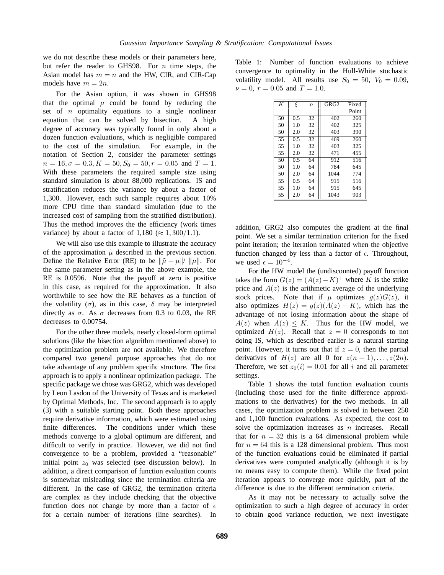we do not describe these models or their parameters here, but refer the reader to GHS98. For  $n$  time steps, the Asian model has  $m = n$  and the HW, CIR, and CIR-Cap models have  $m = 2n$ .

For the Asian option, it was shown in GHS98 that the optimal  $\mu$  could be found by reducing the set of  $n$  optimality equations to a single nonlinear equation that can be solved by bisection. A high degree of accuracy was typically found in only about a dozen function evaluations, which is negligible compared to the cost of the simulation. For example, in the notation of Section 2, consider the parameter settings  $n = 16, \sigma = 0.3, K = 50, S_0 = 50, r = 0.05 \text{ and } T = 1.$ With these parameters the required sample size using standard simulation is about 88,000 replications. IS and stratification reduces the variance by about a factor of 1,300. However, each such sample requires about 10% more CPU time than standard simulation (due to the increased cost of sampling from the stratified distribution). Thus the method improves the the efficiency (work times variance) by about a factor of 1,180 ( $\approx 1,300/1.1$ ).

We will also use this example to illustrate the accuracy of the approximation  $\tilde{\mu}$  described in the previous section. Define the Relative Error (RE) to be  $\|\tilde{\mu} - \mu\|$ /  $\|\mu\|$ . For the same parameter setting as in the above example, the RE is 0.0596. Note that the payoff at zero is positive in this case, as required for the approximation. It also worthwhile to see how the RE behaves as a function of the volatility  $(\sigma)$ , as in this case,  $\delta$  may be interpreted directly as  $\sigma$ . As  $\sigma$  decreases from 0.3 to 0.03, the RE decreases to 0.00754.

For the other three models, nearly closed-form optimal solutions (like the bisection algorithm mentioned above) to the optimization problem are not available. We therefore compared two general purpose approaches that do not take advantage of any problem specific structure. The first approach is to apply a nonlinear optimization package. The specific package we chose was GRG2, which was developed by Leon Lasdon of the University of Texas and is marketed by Optimal Methods, Inc. The second approach is to apply (3) with a suitable starting point. Both these approaches require derivative information, which were estimated using finite differences. The conditions under which these methods converge to a global optimum are different, and difficult to verify in practice. However, we did not find convergence to be a problem, provided a "reasonable" initial point  $z_0$  was selected (see discussion below). In addition, a direct comparison of function evaluation counts is somewhat misleading since the termination criteria are different. In the case of GRG2, the termination criteria are complex as they include checking that the objective function does not change by more than a factor of  $\epsilon$ for a certain number of iterations (line searches). In

Table 1: Number of function evaluations to achieve convergence to optimality in the Hull-White stochastic volatility model. All results use  $S_0 = 50$ ,  $V_0 = 0.09$ ,  $\nu = 0$ ,  $r = 0.05$  and  $T = 1.0$ .

| $\overline{K}$ | ξ   | $\boldsymbol{n}$ | $\overline{\text{GR}}$ G <sub>2</sub> | Fixed |
|----------------|-----|------------------|---------------------------------------|-------|
|                |     |                  |                                       | Point |
| 50             | 0.5 | 32               | 402                                   | 260   |
| 50             | 1.0 | 32               | 402                                   | 325   |
| 50             | 2.0 | 32               | 403                                   | 390   |
| 55             | 0.5 | 32               | 469                                   | 260   |
| 55             | 1.0 | 32               | 403                                   | 325   |
| 55             | 2.0 | 32               | 471                                   | 455   |
| 50             | 0.5 | 64               | 912                                   | 516   |
| 50             | 1.0 | 64               | 784                                   | 645   |
| 50             | 2.0 | 64               | 1044                                  | 774   |
| 55             | 0.5 | 64               | 915                                   | 516   |
| 55             | 1.0 | 64               | 915                                   | 645   |
| 55             | 2.0 | 64               | 1043                                  | 903   |

addition, GRG2 also computes the gradient at the final point. We set a similar termination criterion for the fixed point iteration; the iteration terminated when the objective function changed by less than a factor of  $\epsilon$ . Throughout, we used  $\epsilon = 10^{-4}$ .

For the HW model the (undiscounted) payoff function takes the form  $G(z)=(A(z)-K)^+$  where K is the strike price and  $A(z)$  is the arithmetic average of the underlying stock prices. Note that if  $\mu$  optimizes  $g(z)G(z)$ , it also optimizes  $H(z) = g(z)(A(z) - K)$ , which has the advantage of not losing information about the shape of  $A(z)$  when  $A(z) \leq K$ . Thus for the HW model, we optimized  $H(z)$ . Recall that  $z = 0$  corresponds to not doing IS, which as described earlier is a natural starting point. However, it turns out that if  $z = 0$ , then the partial derivatives of  $H(z)$  are all 0 for  $z(n + 1), \ldots, z(2n)$ . Therefore, we set  $z_0(i)=0.01$  for all i and all parameter settings.

Table 1 shows the total function evaluation counts (including those used for the finite difference approximations to the derivatives) for the two methods. In all cases, the optimization problem is solved in between 250 and 1,100 function evaluations. As expected, the cost to solve the optimization increases as  $n$  increases. Recall that for  $n = 32$  this is a 64 dimensional problem while for  $n = 64$  this is a 128 dimensional problem. Thus most of the function evaluations could be eliminated if partial derivatives were computed analytically (although it is by no means easy to compute them). While the fixed point iteration appears to converge more quickly, part of the difference is due to the different termination criteria.

As it may not be necessary to actually solve the optimization to such a high degree of accuracy in order to obtain good variance reduction, we next investigate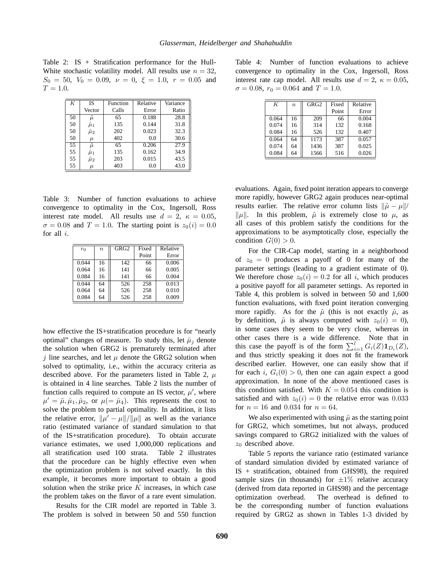Table 2: IS + Stratification performance for the Hull-White stochastic volatility model. All results use  $n = 32$ ,  $S_0 = 50$ ,  $V_0 = 0.09$ ,  $\nu = 0$ ,  $\xi = 1.0$ ,  $r = 0.05$  and  $T = 1.0.$ 

| K  | <b>IS</b>     | Function | Relative | Variance |
|----|---------------|----------|----------|----------|
|    | Vector        | Calls    | Error    | Ratio    |
| 50 | ũ             | 65       | 0.188    | 28.8     |
| 50 | $\hat{\mu}_1$ | 135      | 0.144    | 31.8     |
| 50 | $\hat{\mu}_2$ | 202      | 0.023    | 32.3     |
| 50 | $\mu$         | 402      | 0.0      | 30.6     |
| 55 | $\tilde{\mu}$ | 65       | 0.206    | 27.9     |
| 55 | $\hat{\mu}_1$ | 135      | 0.162    | 34.9     |
| 55 | $\hat{\mu}_2$ | 203      | 0.015    | 43.5     |
| 55 | $\mu$         | 403      | 0.0      | 43.0     |

Table 3: Number of function evaluations to achieve convergence to optimality in the Cox, Ingersoll, Ross interest rate model. All results use  $d = 2$ ,  $\kappa = 0.05$ ,  $\sigma = 0.08$  and  $T = 1.0$ . The starting point is  $z_0(i) = 0.0$ for all i.

| $r_0$ | $\boldsymbol{n}$ | GRG2 | Fixed | Relative |
|-------|------------------|------|-------|----------|
|       |                  |      | Point | Error    |
| 0.044 | 16               | 142  | 66    | 0.006    |
| 0.064 | 16               | 141  | 66    | 0.005    |
| 0.084 | 16               | 141  | 66    | 0.004    |
| 0.044 | 64               | 526  | 258   | 0.013    |
| 0.064 | 64               | 526  | 258   | 0.010    |
| 0.084 | 64               | 526  | 258   | 0.009    |

how effective the IS+stratification procedure is for "nearly optimal" changes of measure. To study this, let  $\hat{\mu}_i$  denote the solution when GRG2 is prematurely terminated after j line searches, and let  $\mu$  denote the GRG2 solution when solved to optimality, i.e., within the accuracy criteria as described above. For the parameters listed in Table 2,  $\mu$ is obtained in 4 line searches. Table 2 lists the number of function calls required to compute an IS vector,  $\mu'$ , where  $\mu' = \tilde{\mu}, \hat{\mu}_1, \hat{\mu}_2$ , or  $\mu (= \hat{\mu}_4)$ . This represents the cost to solve the problem to partial optimality. In addition, it lists the relative error,  $\|\mu' - \mu\|/\|\mu\|$  as well as the variance ratio (estimated variance of standard simulation to that of the IS+stratification procedure). To obtain accurate variance estimates, we used 1,000,000 replications and all stratification used 100 strata. Table 2 illustrates that the procedure can be highly effective even when the optimization problem is not solved exactly. In this example, it becomes more important to obtain a good solution when the strike price  $K$  increases, in which case the problem takes on the flavor of a rare event simulation.

Results for the CIR model are reported in Table 3. The problem is solved in between 50 and 550 function

Table 4: Number of function evaluations to achieve convergence to optimality in the Cox, Ingersoll, Ross interest rate cap model. All results use  $d = 2$ ,  $\kappa = 0.05$ ,  $\sigma = 0.08$ ,  $r_0 = 0.064$  and  $T = 1.0$ .

| K     | $\boldsymbol{n}$ | GRG <sub>2</sub> | Fixed | Relative |
|-------|------------------|------------------|-------|----------|
|       |                  |                  | Point | Error    |
| 0.064 | 16               | 209              | 66    | 0.004    |
| 0.074 | 16               | 314              | 132   | 0.168    |
| 0.084 | 16               | 526              | 132   | 0.407    |
| 0.064 | 64               | 1173             | 387   | 0.057    |
| 0.074 | 64               | 1436             | 387   | 0.025    |
| 0.084 | 64               | 1566             | 516   | 0.026    |

evaluations. Again, fixed point iteration appears to converge more rapidly, however GRG2 again produces near-optimal results earlier. The relative error column lists  $\|\tilde{\mu} - \mu\|$ /  $\|\mu\|$ . In this problem,  $\tilde{\mu}$  is extremely close to  $\mu$ , as all cases of this problem satisfy the conditions for the approximations to be asymptotically close, especially the condition  $G(0) > 0$ .

For the CIR-Cap model, starting in a neighborhood of  $z_0 = 0$  produces a payoff of 0 for many of the parameter settings (leading to a gradient estimate of 0). We therefore chose  $z_0(i)=0.2$  for all i, which produces a positive payoff for all parameter settings. As reported in Table 4, this problem is solved in between 50 and 1,600 function evaluations, with fixed point iteration converging more rapidly. As for the  $\tilde{\mu}$  (this is not exactly  $\tilde{\mu}$ , as by definition,  $\tilde{\mu}$  is always computed with  $z_0(i)=0$ ), in some cases they seem to be very close, whereas in other cases there is a wide difference. Note that in this case the payoff is of the form  $\sum_{i=1}^{l} G_i(Z) \mathbf{1}_{D_i}(Z)$ , and thus strictly speaking it does not fit the framework described earlier. However, one can easily show that if for each i,  $G_i(0) > 0$ , then one can again expect a good approximation. In none of the above mentioned cases is this condition satisfied. With  $K = 0.054$  this condition is satisfied and with  $z_0(i)=0$  the relative error was 0.033 for  $n = 16$  and 0.034 for  $n = 64$ .

We also experimented with using  $\tilde{\mu}$  as the starting point for GRG2, which sometimes, but not always, produced savings compared to GRG2 initialized with the values of  $z_0$  described above.

Table 5 reports the variance ratio (estimated variance of standard simulation divided by estimated variance of IS + stratification, obtained from GHS98), the required sample sizes (in thousands) for  $\pm 1\%$  relative accuracy (derived from data reported in GHS98) and the percentage optimization overhead. The overhead is defined to be the corresponding number of function evaluations required by GRG2 as shown in Tables 1-3 divided by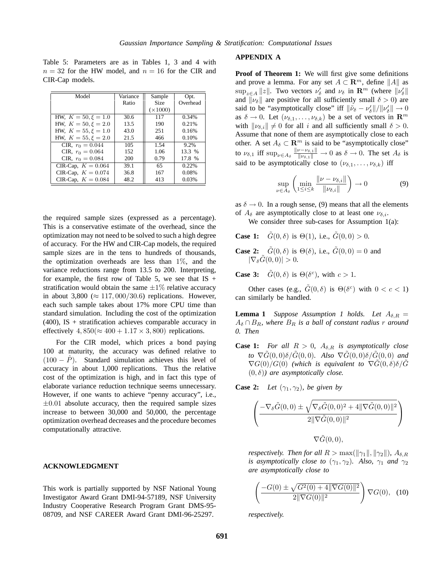Table 5: Parameters are as in Tables 1, 3 and 4 with  $n = 32$  for the HW model, and  $n = 16$  for the CIR and CIR-Cap models.

| Model                   | Variance | Sample          | Opt.     |
|-------------------------|----------|-----------------|----------|
|                         | Ratio    | <b>Size</b>     | Overhead |
|                         |          | $(\times 1000)$ |          |
| HW, $K = 50, \xi = 1.0$ | 30.6     | 117             | 0.34%    |
| HW, $K = 50, \xi = 2.0$ | 13.5     | 190             | 0.21%    |
| HW, $K = 55, \xi = 1.0$ | 43.0     | 251             | 0.16%    |
| HW, $K = 55, \xi = 2.0$ | 21.5     | 466             | 0.10%    |
| CIR, $r_0 = 0.044$      | 105      | 1.54            | 9.2%     |
| CIR, $r_0 = 0.064$      | 152      | 1.06            | 13.3 %   |
| CIR, $r_0 = 0.084$      | 200      | 0.79            | 17.8 %   |
| CIR-Cap, $K = 0.064$    | 39.1     | 65              | 0.22%    |
| CIR-Cap, $K = 0.074$    | 36.8     | 167             | 0.08%    |
| CIR-Cap, $K = 0.084$    | 48.2     | 413             | 0.03%    |

the required sample sizes (expressed as a percentage). This is a conservative estimate of the overhead, since the optimization may not need to be solved to such a high degree of accuracy. For the HW and CIR-Cap models, the required sample sizes are in the tens to hundreds of thousands, the optimization overheads are less than  $1\%$ , and the variance reductions range from 13.5 to 200. Interpreting, for example, the first row of Table 5, we see that  $IS +$ stratification would obtain the same  $\pm 1\%$  relative accuracy in about 3,800 ( $\approx 117,000/30.6$ ) replications. However, each such sample takes about 17% more CPU time than standard simulation. Including the cost of the optimization (400), IS + stratification achieves comparable accuracy in effectively  $4,850 \approx 400 + 1.17 \times 3,800$  replications.

For the CIR model, which prices a bond paying 100 at maturity, the accuracy was defined relative to  $(100 - \hat{P})$ . Standard simulation achieves this level of accuracy in about 1,000 replications. Thus the relative cost of the optimization is high, and in fact this type of elaborate variance reduction technique seems unnecessary. However, if one wants to achieve "penny accuracy", i.e.,  $\pm 0.01$  absolute accuracy, then the required sample sizes increase to between 30,000 and 50,000, the percentage optimization overhead decreases and the procedure becomes computationally attractive.

#### **ACKNOWLEDGMENT**

This work is partially supported by NSF National Young Investigator Award Grant DMI-94-57189, NSF University Industry Cooperative Research Program Grant DMS-95- 08709, and NSF CAREER Award Grant DMI-96-25297.

### **APPENDIX A**

**Proof of Theorem 1:** We will first give some definitions and prove a lemma. For any set  $A \subset \mathbb{R}^m$ , define  $||A||$  as  $\sup_{z \in A} ||z||$ . Two vectors  $\nu'_{\delta}$  and  $\nu_{\delta}$  in  $\mathbb{R}^m$  (where  $||\nu'_{\delta}||$ and  $\|\nu_{\delta}\|$  are positive for all sufficiently small  $\delta > 0$ ) are said to be "asymptotically close" iff  $\|\tilde{\nu}_{\delta} - \nu'_{\delta}\|/\|\nu'_{\delta}\| \to 0$ as  $\delta \to 0$ . Let  $(\nu_{\delta,1},...,\nu_{\delta,k})$  be a set of vectors in  $\mathbb{R}^m$ with  $\|\nu_{\delta,i}\| \neq 0$  for all i and all sufficiently small  $\delta > 0$ . Assume that none of them are asymptotically close to each other. A set  $A_{\delta} \subset \mathbb{R}^m$  is said to be "asymptotically close" to  $\nu_{\delta,1}$  iff  $\sup_{\nu\in A_\delta} \frac{\|\nu-\nu_{\delta,1}\|}{\|\nu_{\delta,1}\|} \to 0$  as  $\delta \to 0$ . The set  $A_\delta$  is said to be asymptotically close to  $(\nu_{\delta,1},\ldots,\nu_{\delta,k})$  iff

$$
\sup_{\nu \in A_{\delta}} \left( \min_{1 \le i \le k} \frac{\|\nu - \nu_{\delta,i}\|}{\|\nu_{\delta,i}\|} \right) \to 0 \tag{9}
$$

as  $\delta \rightarrow 0$ . In a rough sense, (9) means that all the elements of  $A_\delta$  are asymptotically close to at least one  $\nu_{\delta,i}$ .

We consider three sub-cases for Assumption 1(a):

- **Case 1:**  $\tilde{G}(0, \delta)$  is  $\Theta(1)$ , i.e.,  $\tilde{G}(0, 0) > 0$ .
- **Case 2:**  $\tilde{G}(0, \delta)$  is  $\Theta(\delta)$ , i.e.,  $\tilde{G}(0, 0) = 0$  and  $|\nabla_{\delta}\tilde{G}(0,0)| > 0.$

**Case 3:**  $\tilde{G}(0, \delta)$  is  $\Theta(\delta^c)$ , with  $c > 1$ .

Other cases (e.g.,  $\tilde{G}(0,\delta)$  is  $\Theta(\delta^c)$  with  $0 < c < 1$ ) can similarly be handled.

**Lemma 1** *Suppose Assumption 1 holds. Let*  $A_{\delta,R}$  =  $A_\delta \cap B_R$ , where  $B_R$  is a ball of constant radius r around *0. Then*

**Case 1:** *For all*  $R > 0$ ,  $A_{\delta,R}$  *is asymptotically close to*  $\nabla \tilde{G}(0,0)\delta/\tilde{G}(0,0)$ *. Also*  $\nabla \tilde{G}(0,0)\delta/\tilde{G}(0,0)$  *and*  $\nabla G(0)/G(0)$  (which is equivalent to  $\nabla G(0,\delta)\delta/G$  $(0, \delta)$ *)* are asymptotically close.

**Case 2:** *Let*  $(\gamma_1, \gamma_2)$ *, be given by* 

$$
\left(\frac{-\nabla_{\delta}\tilde{G}(0,0) \pm \sqrt{\nabla_{\delta}\tilde{G}(0,0)^2 + 4\|\nabla\tilde{G}(0,0)\|^2}}{2\|\nabla\tilde{G}(0,0)\|^2}\right)
$$
  

$$
\nabla\tilde{G}(0,0),
$$

*respectively. Then for all*  $R > \max(||\gamma_1||, ||\gamma_2||)$ *,*  $A_{\delta,R}$ *is asymptotically close to*  $(\gamma_1, \gamma_2)$ *. Also,*  $\gamma_1$  *and*  $\gamma_2$ *are asymptotically close to*

$$
\left(\frac{-G(0) \pm \sqrt{G^2(0) + 4\|\nabla G(0)\|^2}}{2\|\nabla G(0)\|^2}\right) \nabla G(0), \quad (10)
$$

*respectively.*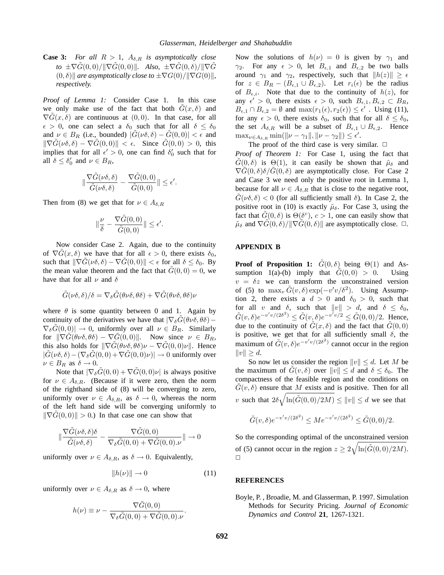**Case 3:** *For all*  $R > 1$ ,  $A_{\delta,R}$  *is asymptotically close*  $\tau$ *to*  $\pm \nabla G(0,0)/\|\nabla G(0,0)\|$ *. Also,*  $\pm \nabla G(0, \delta)/\|\nabla G\|$  $(0, \delta)$  *are asymptotically close to*  $\pm \nabla G(0)/\|\nabla G(0)\|$ *, respectively.*

*Proof of Lemma 1:* Consider Case 1. In this case we only make use of the fact that both  $G(x, \delta)$  and  $\nabla G(x, \delta)$  are continuous at  $(0, 0)$ . In that case, for all  $\epsilon > 0$ , one can select a  $\delta_0$  such that for all  $\delta \leq \delta_0$ and  $\nu \in B_R$  (i.e., bounded)  $|G(\nu \delta, \delta) - G(0, 0)| < \epsilon$  and  $\|\nabla G(\nu\delta, \delta) - \nabla G(0, 0)\| < \epsilon$ . Since  $G(0, 0) > 0$ , this implies that for all  $\epsilon' > 0$ , one can find  $\delta'_{0}$  such that for all  $\delta \leq \delta_0'$  and  $\nu \in B_R$ ,

$$
\|\frac{\nabla \tilde{G}(\nu\delta,\delta)}{\tilde{G}(\nu\delta,\delta)}-\frac{\nabla \tilde{G}(0,0)}{\tilde{G}(0,0)}\|\leq \epsilon'.
$$

Then from (8) we get that for  $\nu \in A_{\delta,R}$ 

$$
\|\frac{\nu}{\delta}-\frac{\nabla \tilde{G}(0,0)}{\tilde{G}(0,0)}\|\leq \epsilon'.
$$

Now consider Case 2. Again, due to the continuity of  $\nabla \tilde{G}(x, \delta)$  we have that for all  $\epsilon > 0$ , there exists  $\delta_0$ , such that  $\|\nabla G(\nu\delta, \delta) - \nabla G(0, 0)\| < \epsilon$  for all  $\delta \leq \delta_0$ . By the mean value theorem and the fact that  $G(0, 0) = 0$ , we have that for all  $\nu$  and  $\delta$ 

$$
\tilde{G}(\nu\delta,\delta)/\delta=\nabla_{\delta}\tilde{G}(\theta\nu\delta,\theta\delta)+\nabla\tilde{G}(\theta\nu\delta,\theta\delta)\nu
$$

where  $\theta$  is some quantity between 0 and 1. Again by continuity of the derivatives we have that  $|\nabla_{\delta}G(\theta\nu\delta, \theta\delta) \nabla_{\delta}G(0,0)| \rightarrow 0$ , uniformly over all  $\nu \in B_R$ . Similarly for  $\|\nabla G(\theta \nu \delta, \theta \delta) - \nabla G(0, 0)\|$ . Now since  $\nu \in B_R$ , this also holds for  $\|\nabla G(\theta \nu \delta, \theta \delta)\nu - \nabla G(0, 0)\nu\|$ . Hence  $|\tilde{G}(\nu\delta,\delta)-(\nabla_{\delta}\tilde{G}(0,0)+\nabla\tilde{G}(0,0)\nu)|\to 0$  uniformly over  $\nu \in B_R$  as  $\delta \to 0$ .

Note that  $|\nabla_{\delta} G(0,0) + \nabla G(0,0)\nu|$  is always positive for  $\nu \in A_{\delta,R}$ . (Because if it were zero, then the norm of the righthand side of (8) will be converging to zero, uniformly over  $\nu \in A_{\delta,R}$ , as  $\delta \to 0$ , whereas the norm of the left hand side will be converging uniformly to  $\|\nabla G(0,0)\| > 0.$  In that case one can show that

$$
\|\frac{\nabla \tilde{G}(\nu\delta,\delta)\delta}{\tilde{G}(\nu\delta,\delta)} - \frac{\nabla \tilde{G}(0,0)}{\nabla_{\delta}\tilde{G}(0,0) + \nabla \tilde{G}(0,0)\nu}\| \to 0
$$

uniformly over  $\nu \in A_{\delta,R}$ , as  $\delta \to 0$ . Equivalently,

$$
||h(\nu)|| \to 0 \tag{11}
$$

uniformly over  $\nu \in A_{\delta,R}$  as  $\delta \to 0$ , where

$$
h(\nu) \equiv \nu - \frac{\nabla \tilde{G}(0,0)}{\nabla_{\delta} \tilde{G}(0,0) + \nabla \tilde{G}(0,0) . \nu}.
$$

Now the solutions of  $h(\nu)=0$  is given by  $\gamma_1$  and  $\gamma_2$ . For any  $\epsilon > 0$ , let  $B_{\epsilon,1}$  and  $B_{\epsilon,2}$  be two balls around  $\gamma_1$  and  $\gamma_2$ , respectively, such that  $||h(z)|| \geq \epsilon$ for  $z \in B_R - (B_{\epsilon,1} \cup B_{\epsilon,2})$ . Let  $r_i(\epsilon)$  be the radius of  $B_{\epsilon,i}$ . Note that due to the continuity of  $h(z)$ , for any  $\epsilon' > 0$ , there exists  $\epsilon > 0$ , such  $B_{\epsilon,1}, B_{\epsilon,2} \subset B_R$ ,  $B_{\epsilon,1} \cap B_{\epsilon,2} = \emptyset$  and  $\max(r_1(\epsilon), r_2(\epsilon)) \leq \epsilon'$ . Using (11), for any  $\epsilon > 0$ , there exists  $\delta_0$ , such that for all  $\delta \leq \delta_0$ , the set  $A_{\delta,R}$  will be a subset of  $B_{\epsilon,1} \cup B_{\epsilon,2}$ . Hence  $\max_{\nu \in A_{\delta,R}} \min(\|\nu - \gamma_1\|, \|\nu - \gamma_2\|) \leq \epsilon'.$ 

The proof of the third case is very similar.  $\Box$ 

*Proof of Theorem 1:* For Case 1, using the fact that  $G(0,\delta)$  is  $\Theta(1)$ , it can easily be shown that  $\tilde{\mu}_{\delta}$  and  $\nabla G(0,\delta)\delta/G(0,\delta)$  are asymptotically close. For Case 2 and Case 3 we need only the positive root in Lemma 1, because for all  $\nu \in A_{\delta,R}$  that is close to the negative root,  $G(\nu\delta, \delta) < 0$  (for all sufficiently small  $\delta$ ). In Case 2, the positive root in (10) is exactly  $\tilde{\mu}_{\delta}$ . For Case 3, using the fact that  $G(0, \delta)$  is  $\Theta(\delta^c)$ ,  $c > 1$ , one can easily show that  $\tilde{\mu}_{\delta}$  and  $\nabla G(0, \delta)/\|\nabla G(0, \delta)\|$  are asymptotically close.  $\Box$ .

#### **APPENDIX B**

**Proof of Proposition 1:**  $\tilde{G}(0, \delta)$  being  $\Theta(1)$  and Assumption 1(a)-(b) imply that  $G(0, 0) > 0$ . Using  $v = \delta z$  we can transform the unconstrained version of (5) to  $\max_v \tilde{G}(v, \delta) \exp(-v'v/\delta^2)$ . Using Assumption 2, there exists a  $d > 0$  and  $\delta_0 > 0$ , such that for all v and  $\delta$ , such that  $||v|| > d$ , and  $\delta \leq \delta_0$ ,  $\tilde{G}(v,\delta)e^{-v'v/(2\delta^2)} \leq \tilde{G}(v,\delta)e^{-v'v/2} \leq \tilde{G}(0,0)/2$ . Hence, due to the continuity of  $G(x, \delta)$  and the fact that  $G(0, 0)$ is positive, we get that for all sufficiently small  $\delta$ , the maximum of  $\tilde{G}(v, \delta) e^{-v'v/(2\delta^2)}$  cannot occur in the region  $||v|| \geq d.$ 

So now let us consider the region  $||v|| \le d$ . Let M be the maximum of  $G(v, \delta)$  over  $||v|| \le d$  and  $\delta \le \delta_0$ . The compactness of the feasible region and the conditions on  $G(v, \delta)$  ensure that M exists and is positive. Then for all v such that  $2\delta\sqrt{\ln(\tilde{G}(0,0)/2M)} \leq ||v|| \leq d$  we see that

$$
\tilde{G}(v,\delta)e^{-v'v/(2\delta^2)} \le Me^{-v'v/(2\delta^2)} \le \tilde{G}(0,0)/2.
$$

So the corresponding optimal of the unconstrained version of (5) cannot occur in the region  $z \ge 2\sqrt{\ln(\tilde{G}(0,0)/2M)}$ .  $\Box$ 

#### **REFERENCES**

Boyle, P. , Broadie, M. and Glasserman, P. 1997. Simulation Methods for Security Pricing. *Journal of Economic Dynamics and Control* **21**, 1267-1321.